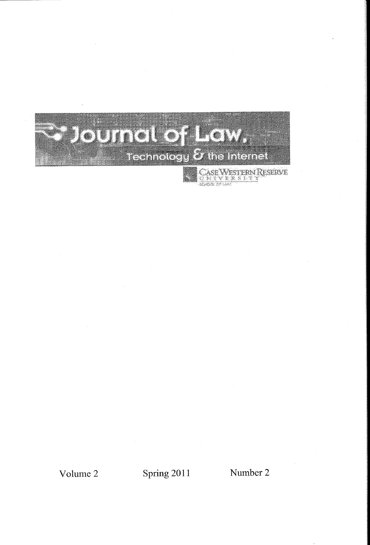

Volume 2 Spring 2011 Number 2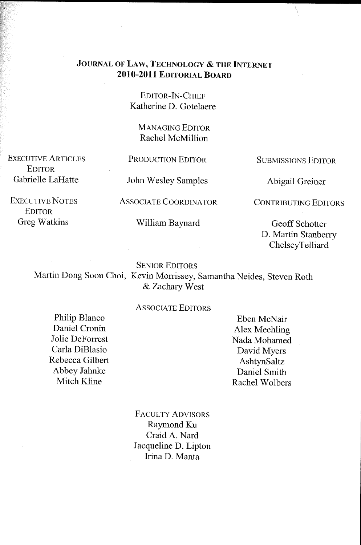## JOURNAL OF LAW, TECHNOLOGY & THE INTERNET 2010-2011 EDITORIAL BOARD

EDITOR-IN-CHIEF Katherine D. Gotelaere

MANAGING EDITOR Rachel McMillion

EXECUTIVE ARTICLES **EDITOR** Gabrielle LaHatte

EXECUTIVE NOTES EDITOR Greg Watkins

PRODUCTION EDITOR

John Wesley Samples

AS SOCIA TE COORDINATOR

William Baynard

SUBMISSIONS EDITOR

Abigail Greiner

CONTRIBUTING EDITORS

Geoff Schotter D. Martin Stanberry **ChelseyTelliard** 

SENIOR EDITORS

Martin Dong Soon Choi, Kevin Morrissey, Samantha Neides, Steven Roth & Zachary West

## ASSOCIATE EDITORS

Philip Blanco Daniel Cronin Jolie Deforrest Carla DiBlasio Rebecca Gilbert Abbey Jahnke Mitch Kline

Eben McNair Alex Mechling Nada Mohamed David Myers AshtynSaltz Daniel Smith Rachel Wolbers

FACULTY ADVISORS Raymond Ku Craid A. Nard Jacqueline D. Lipton Irina D. Manta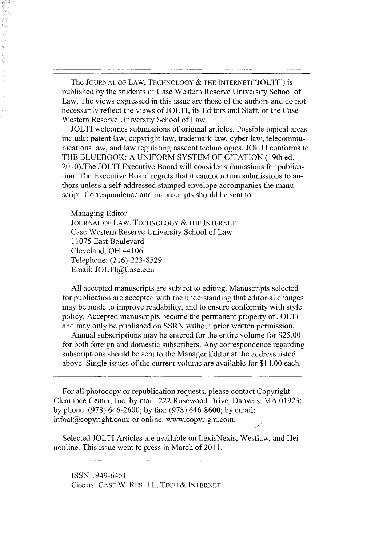The JOURNAL OF LAW, TECHNOLOGY & THE INTERNET("JOLTI") is published by the students of Case Western Reserve University School of Law. The views expressed in this issue are those of the authors and do not necessarily reflect the views of JOLTI, its Editors and Staff, or the Case Western Reserve University School of Law.

JOL TI welcomes submissions of original articles. Possible topical areas include: patent law, copyright law, trademark law, cyber law, telecommunications law, and law regulating nascent technologies. JOL TI conforms to THE BLUEBOOK: A UNIFORM SYSTEM OF CITATION (19th ed. 2010).The JOLTI Executive Board will consider submissions for publication. The Executive Board regrets that it cannot return submissions to authors unless a self-addressed stamped envelope accompanies the manuscript. Correspondence and manuscripts should be sent to:

## Managing Editor

JOURNAL OF LAW, TECHNOLOGY & THE INTERNET Case Western Reserve University School of Law 11075 East Boulevard Cleveland, OH 44106 Telephone: (216)-223-8529 Email: JOLTI@Case.edu

All accepted manuscripts are subject to editing. Manuscripts selected for publication are accepted with the understanding that editorial changes may be made to improve readability, and to ensure conformity with style policy. Accepted manuscripts become the permanent property of JOLTI and may only be published on SSRN without prior written permission.

Annual subscriptions may be entered for the entire volume for \$25.00 for both foreign and domestic subscribers. Any correspondence regarding subscriptions should be sent to the Manager Editor at the address listed above. Single issues of the current volume are available for \$14.00 each.

For all photocopy or republication requests, please contact Copyright Clearance Center, Inc. by mail: 222 Rosewood Drive, Danvers, MA 01923; by phone: (978) 646-2600; by fax: (978) 646-8600; by email: infoat@copyright.com; or online: www.copyright.com.

Selected JOLTI Articles are available on LexisNexis, Westlaw, and Heinonline. This issue went to press in March of 2011.

ISSN 1949-6451 Cite as: CASE w. RES. J.L. TECH & INTERNET